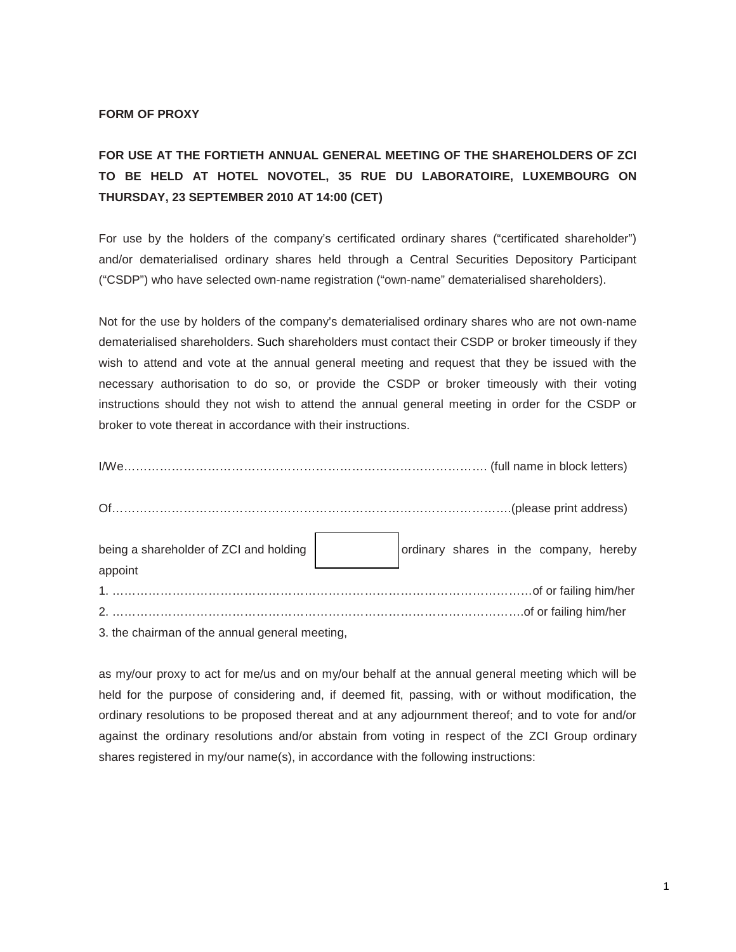## **FORM OF PROXY**

## **FOR USE AT THE FORTIETH ANNUAL GENERAL MEETING OF THE SHAREHOLDERS OF ZCI TO BE HELD AT HOTEL NOVOTEL, 35 RUE DU LABORATOIRE, LUXEMBOURG ON THURSDAY, 23 SEPTEMBER 2010 AT 14:00 (CET)**

For use by the holders of the company's certificated ordinary shares ("certificated shareholder") and/or dematerialised ordinary shares held through a Central Securities Depository Participant ("CSDP") who have selected own-name registration ("own-name" dematerialised shareholders).

Not for the use by holders of the company's dematerialised ordinary shares who are not own-name dematerialised shareholders. Such shareholders must contact their CSDP or broker timeously if they wish to attend and vote at the annual general meeting and request that they be issued with the necessary authorisation to do so, or provide the CSDP or broker timeously with their voting instructions should they not wish to attend the annual general meeting in order for the CSDP or broker to vote thereat in accordance with their instructions.

I/We………………………………………………………………………………. (full name in block letters)

| Of.                                            |                                                                                       |
|------------------------------------------------|---------------------------------------------------------------------------------------|
|                                                | being a shareholder of ZCI and holding $\Big $ ordinary shares in the company, hereby |
| appoint                                        |                                                                                       |
|                                                |                                                                                       |
| 3. the chairman of the annual general meeting, |                                                                                       |

as my/our proxy to act for me/us and on my/our behalf at the annual general meeting which will be held for the purpose of considering and, if deemed fit, passing, with or without modification, the ordinary resolutions to be proposed thereat and at any adjournment thereof; and to vote for and/or against the ordinary resolutions and/or abstain from voting in respect of the ZCI Group ordinary shares registered in my/our name(s), in accordance with the following instructions: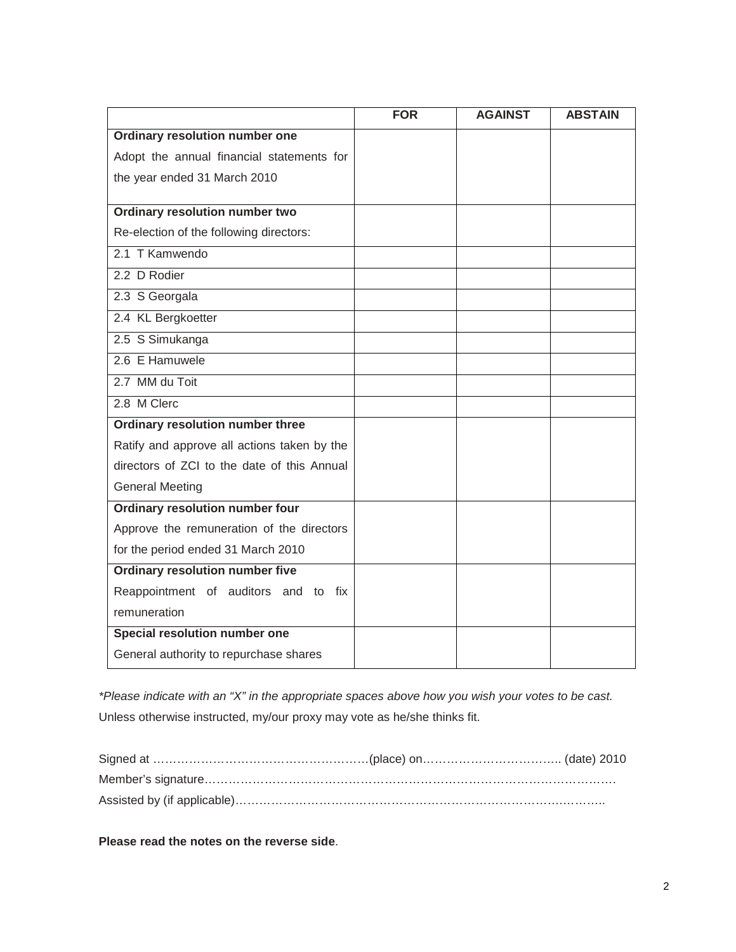|                                             | <b>FOR</b> | <b>AGAINST</b> | <b>ABSTAIN</b> |
|---------------------------------------------|------------|----------------|----------------|
| Ordinary resolution number one              |            |                |                |
| Adopt the annual financial statements for   |            |                |                |
| the year ended 31 March 2010                |            |                |                |
|                                             |            |                |                |
| <b>Ordinary resolution number two</b>       |            |                |                |
| Re-election of the following directors:     |            |                |                |
| 2.1 T Kamwendo                              |            |                |                |
| 2.2 D Rodier                                |            |                |                |
| 2.3 S Georgala                              |            |                |                |
| 2.4 KL Bergkoetter                          |            |                |                |
| 2.5 S Simukanga                             |            |                |                |
| 2.6 E Hamuwele                              |            |                |                |
| 2.7 MM du Toit                              |            |                |                |
| 2.8 M Clerc                                 |            |                |                |
| Ordinary resolution number three            |            |                |                |
| Ratify and approve all actions taken by the |            |                |                |
| directors of ZCI to the date of this Annual |            |                |                |
| <b>General Meeting</b>                      |            |                |                |
| <b>Ordinary resolution number four</b>      |            |                |                |
| Approve the remuneration of the directors   |            |                |                |
| for the period ended 31 March 2010          |            |                |                |
| <b>Ordinary resolution number five</b>      |            |                |                |
| Reappointment of auditors and to fix        |            |                |                |
| remuneration                                |            |                |                |
| Special resolution number one               |            |                |                |
| General authority to repurchase shares      |            |                |                |

*\*Please indicate with an "X" in the appropriate spaces above how you wish your votes to be cast.* Unless otherwise instructed, my/our proxy may vote as he/she thinks fit.

**Please read the notes on the reverse side**.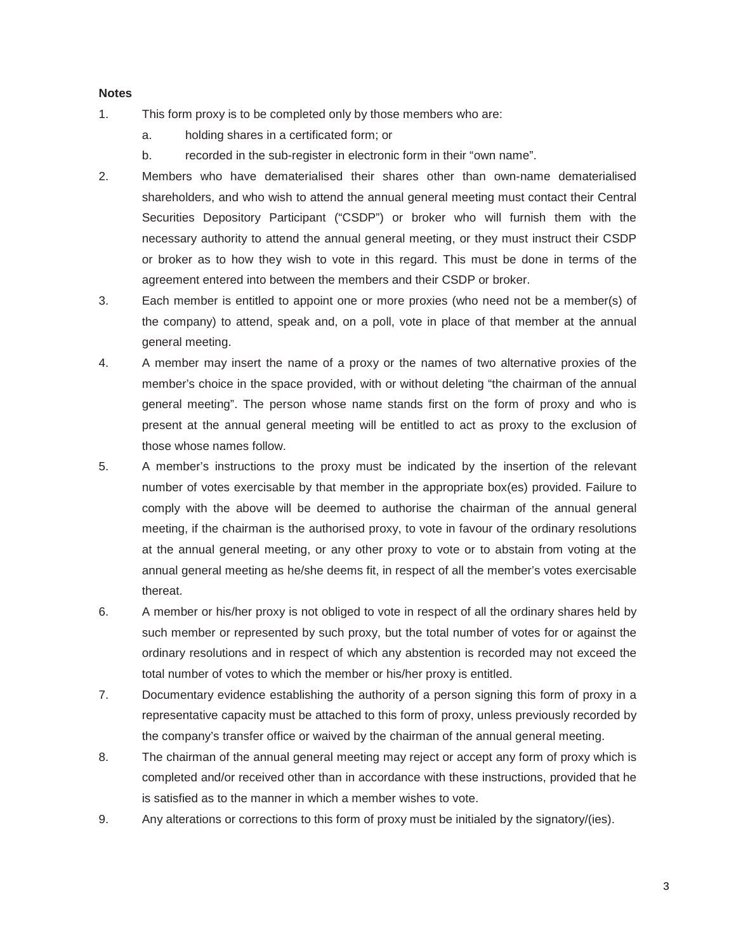## **Notes**

- 1. This form proxy is to be completed only by those members who are:
	- a. holding shares in a certificated form; or
	- b. recorded in the sub-register in electronic form in their "own name".
- 2. Members who have dematerialised their shares other than own-name dematerialised shareholders, and who wish to attend the annual general meeting must contact their Central Securities Depository Participant ("CSDP") or broker who will furnish them with the necessary authority to attend the annual general meeting, or they must instruct their CSDP or broker as to how they wish to vote in this regard. This must be done in terms of the agreement entered into between the members and their CSDP or broker.
- 3. Each member is entitled to appoint one or more proxies (who need not be a member(s) of the company) to attend, speak and, on a poll, vote in place of that member at the annual general meeting.
- 4. A member may insert the name of a proxy or the names of two alternative proxies of the member's choice in the space provided, with or without deleting "the chairman of the annual general meeting". The person whose name stands first on the form of proxy and who is present at the annual general meeting will be entitled to act as proxy to the exclusion of those whose names follow.
- 5. A member's instructions to the proxy must be indicated by the insertion of the relevant number of votes exercisable by that member in the appropriate box(es) provided. Failure to comply with the above will be deemed to authorise the chairman of the annual general meeting, if the chairman is the authorised proxy, to vote in favour of the ordinary resolutions at the annual general meeting, or any other proxy to vote or to abstain from voting at the annual general meeting as he/she deems fit, in respect of all the member's votes exercisable thereat.
- 6. A member or his/her proxy is not obliged to vote in respect of all the ordinary shares held by such member or represented by such proxy, but the total number of votes for or against the ordinary resolutions and in respect of which any abstention is recorded may not exceed the total number of votes to which the member or his/her proxy is entitled.
- 7. Documentary evidence establishing the authority of a person signing this form of proxy in a representative capacity must be attached to this form of proxy, unless previously recorded by the company's transfer office or waived by the chairman of the annual general meeting.
- 8. The chairman of the annual general meeting may reject or accept any form of proxy which is completed and/or received other than in accordance with these instructions, provided that he is satisfied as to the manner in which a member wishes to vote.
- 9. Any alterations or corrections to this form of proxy must be initialed by the signatory/(ies).